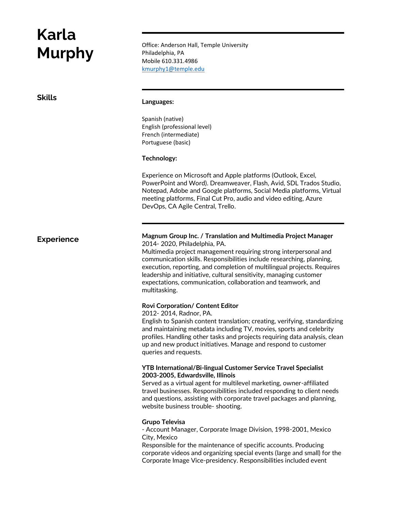# **Karla**

Office: Anderson Hall, Temple University<br> **Murphy**<br>
Mull 640,004,4966 Philadelphia, PA Mobile 610.331.4986 [kmurphy1@temple.edu](mailto:kmurphy1@temple.edu)

# **Skills Languages:**

Spanish (native) English (professional level) French (intermediate) Portuguese (basic)

### **Technology:**

Experience on Microsoft and Apple platforms (Outlook, Excel, PowerPoint and Word). Dreamweaver, Flash, Avid, SDL Trados Studio, Notepad, Adobe and Google platforms, Social Media platforms, Virtual meeting platforms, Final Cut Pro, audio and video editing, Azure DevOps, CA Agile Central, Trello.

## **Experience**

**Magnum Group Inc. / Translation and Multimedia Project Manager** 2014- 2020, Philadelphia, PA.

Multimedia project management requiring strong interpersonal and communication skills. Responsibilities include researching, planning, execution, reporting, and completion of multilingual projects. Requires leadership and initiative, cultural sensitivity, managing customer expectations, communication, collaboration and teamwork, and multitasking.

#### **Rovi Corporation/ Content Editor**

2012- 2014, Radnor, PA.

English to Spanish content translation; creating, verifying, standardizing and maintaining metadata including TV, movies, sports and celebrity profiles. Handling other tasks and projects requiring data analysis, clean up and new product initiatives. Manage and respond to customer queries and requests.

### **YTB International/Bi-lingual Customer Service Travel Specialist 2003-2005, Edwardsville, Illinois**

Served as a virtual agent for multilevel marketing, owner-affiliated travel businesses. Responsibilities included responding to client needs and questions, assisting with corporate travel packages and planning, website business trouble- shooting.

#### **Grupo Televisa**

- Account Manager, Corporate Image Division, 1998-2001, Mexico City, Mexico

Responsible for the maintenance of specific accounts. Producing corporate videos and organizing special events (large and small) for the Corporate Image Vice-presidency. Responsibilities included event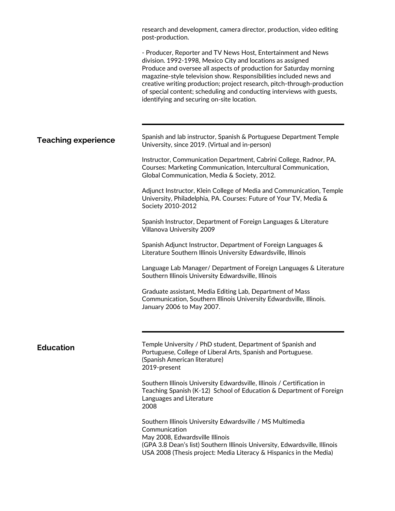|                            | research and development, camera director, production, video editing<br>post-production.                                                                                                                                                                                                                                                                                                                                                                                  |
|----------------------------|---------------------------------------------------------------------------------------------------------------------------------------------------------------------------------------------------------------------------------------------------------------------------------------------------------------------------------------------------------------------------------------------------------------------------------------------------------------------------|
|                            | - Producer, Reporter and TV News Host, Entertainment and News<br>division. 1992-1998, Mexico City and locations as assigned<br>Produce and oversee all aspects of production for Saturday morning<br>magazine-style television show. Responsibilities included news and<br>creative writing production; project research, pitch-through-production<br>of special content; scheduling and conducting interviews with guests,<br>identifying and securing on-site location. |
|                            |                                                                                                                                                                                                                                                                                                                                                                                                                                                                           |
| <b>Teaching experience</b> | Spanish and lab instructor, Spanish & Portuguese Department Temple<br>University, since 2019. (Virtual and in-person)                                                                                                                                                                                                                                                                                                                                                     |
|                            | Instructor, Communication Department, Cabrini College, Radnor, PA.<br>Courses: Marketing Communication, Intercultural Communication,<br>Global Communication, Media & Society, 2012.                                                                                                                                                                                                                                                                                      |
|                            | Adjunct Instructor, Klein College of Media and Communication, Temple<br>University, Philadelphia, PA. Courses: Future of Your TV, Media &<br>Society 2010-2012                                                                                                                                                                                                                                                                                                            |
|                            | Spanish Instructor, Department of Foreign Languages & Literature<br>Villanova University 2009                                                                                                                                                                                                                                                                                                                                                                             |
|                            | Spanish Adjunct Instructor, Department of Foreign Languages &<br>Literature Southern Illinois University Edwardsville, Illinois                                                                                                                                                                                                                                                                                                                                           |
|                            | Language Lab Manager/ Department of Foreign Languages & Literature<br>Southern Illinois University Edwardsville, Illinois                                                                                                                                                                                                                                                                                                                                                 |
|                            | Graduate assistant, Media Editing Lab, Department of Mass<br>Communication, Southern Illinois University Edwardsville, Illinois.<br>January 2006 to May 2007.                                                                                                                                                                                                                                                                                                             |
|                            |                                                                                                                                                                                                                                                                                                                                                                                                                                                                           |
| <b>Education</b>           | Temple University / PhD student, Department of Spanish and<br>Portuguese, College of Liberal Arts, Spanish and Portuguese.<br>(Spanish American literature)<br>2019-present                                                                                                                                                                                                                                                                                               |
|                            | Southern Illinois University Edwardsville, Illinois / Certification in<br>Teaching Spanish (K-12) School of Education & Department of Foreign<br>Languages and Literature<br>2008                                                                                                                                                                                                                                                                                         |
|                            | Southern Illinois University Edwardsville / MS Multimedia<br>Communication<br>May 2008, Edwardsville Illinois<br>(GPA 3.8 Dean's list) Southern Illinois University, Edwardsville, Illinois<br>USA 2008 (Thesis project: Media Literacy & Hispanics in the Media)                                                                                                                                                                                                         |